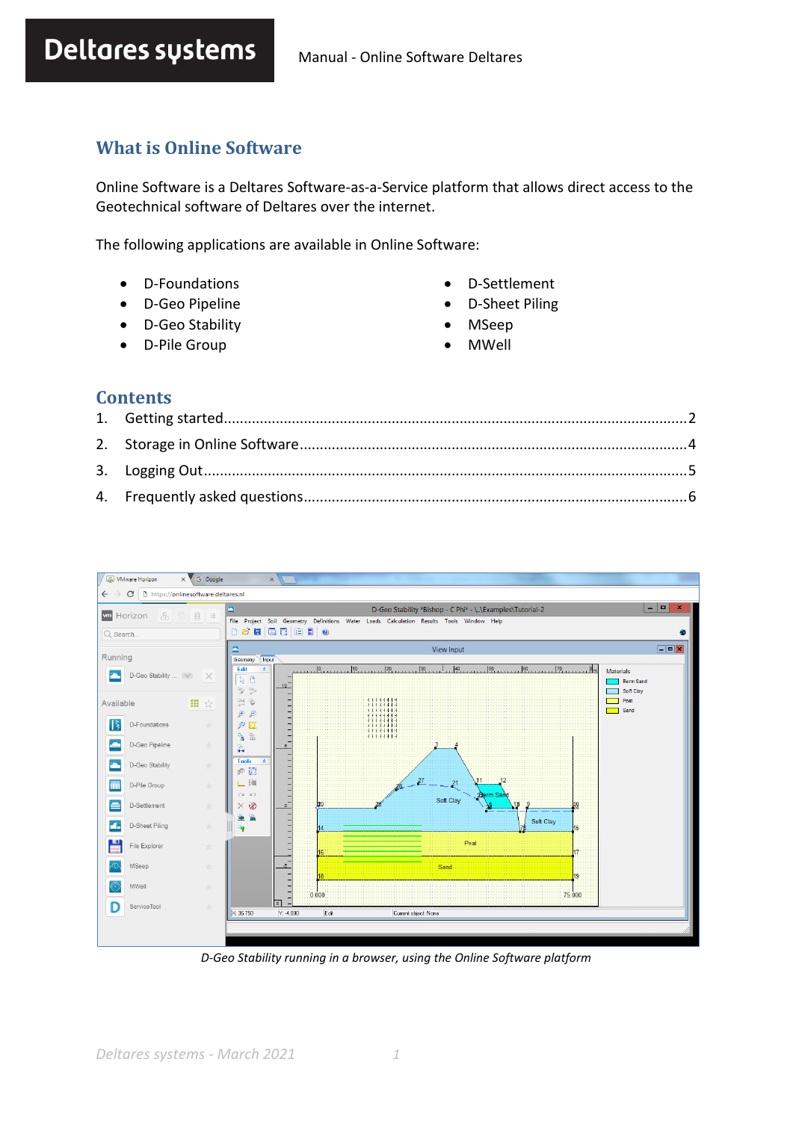# **What is Online Software**

Online Software is a Deltares Software-as-a-Service platform that allows direct access to the Geotechnical software of Deltares over the internet.

The following applications are available in Online Software:

- D-Foundations
- D-Geo Pipeline
- D-Geo Stability
- D-Pile Group
- D-Settlement
- D-Sheet Piling
- MSeep
- MWell

#### **Contents**



*D-Geo Stability running in a browser, using the Online Software platform*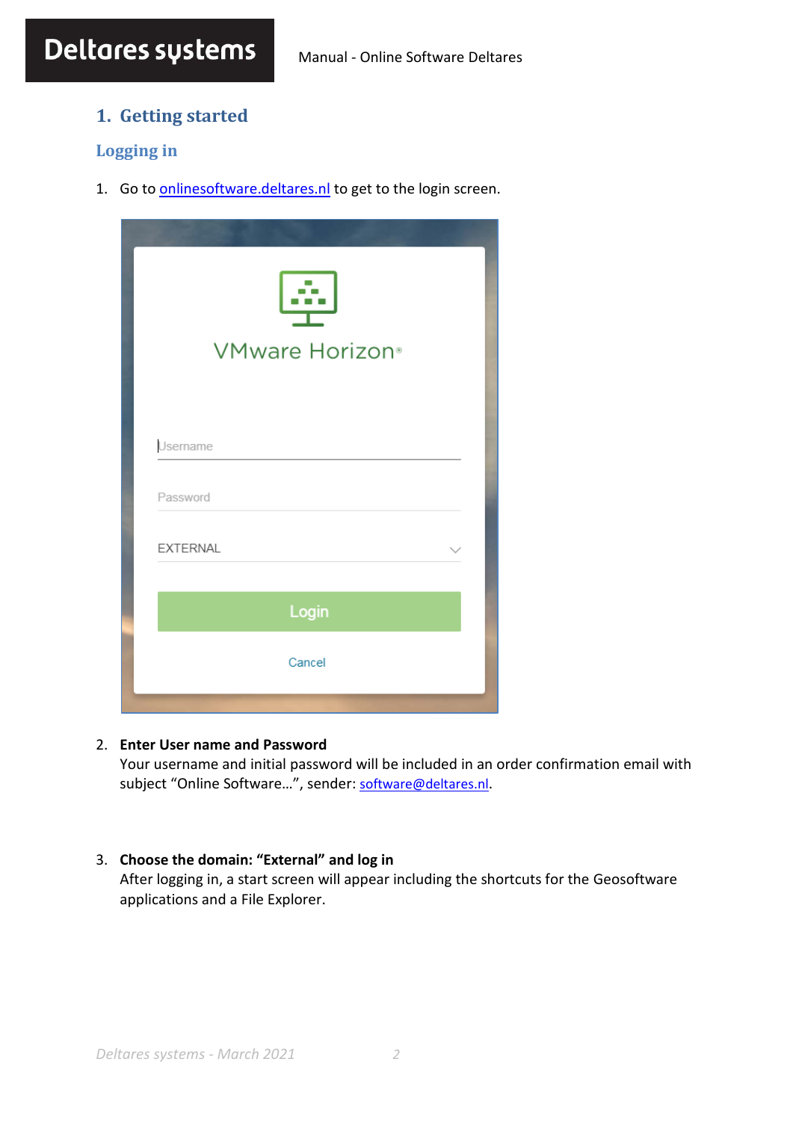# <span id="page-1-0"></span>**1. Getting started**

# **Logging in**

1. Go to **[onlinesoftware.deltares.nl](http://onlinesoftware.deltares.nl/)** to get to the login screen.

| <b>STATISTICS</b><br><b>VMware Horizon</b> ® |  |
|----------------------------------------------|--|
| Username                                     |  |
| Password                                     |  |
| <b>EXTERNAL</b>                              |  |
| Login                                        |  |
| Cancel                                       |  |

#### 2. **Enter User name and Password**

Your username and initial password will be included in an order confirmation email with subject "Online Software...", sender: [software@deltares.nl](mailto:software@deltares.nl).

#### 3. **Choose the domain: "External" and log in**

After logging in, a start screen will appear including the shortcuts for the Geosoftware applications and a File Explorer.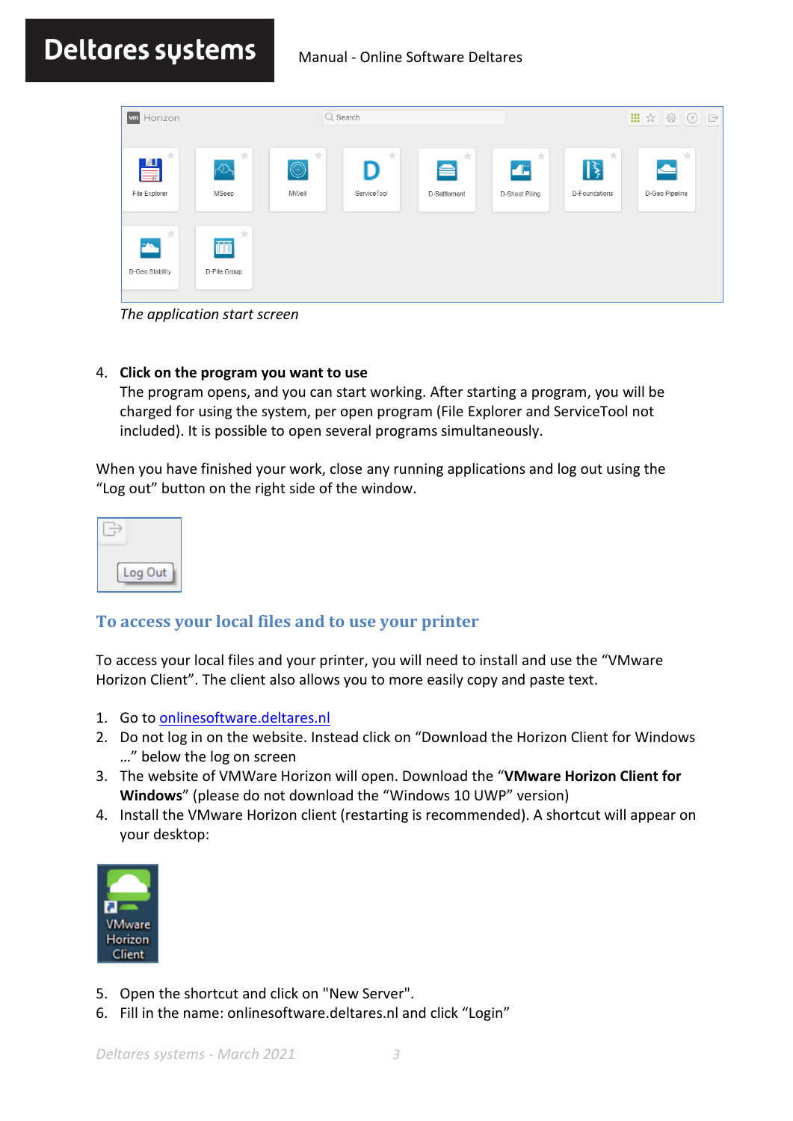# Deltares sustems Manual - Online Software Deltares

| <b>m</b> Horizon                      |                          |                                            | $Q$ Search       |                        |                                       | 靈                             |                                        | $\quad \overrightarrow{\Box}$ |
|---------------------------------------|--------------------------|--------------------------------------------|------------------|------------------------|---------------------------------------|-------------------------------|----------------------------------------|-------------------------------|
| 大。<br>$\blacksquare$<br>File Explorer | 大<br>$\sqrt{N}$<br>MSeep | $\frac{1}{ E }$<br>$\circledcirc$<br>MWell | 大<br>ServiceTool | 大<br>e<br>D-Settlement | 大<br>$\blacksquare$<br>D-Sheet Piling | 大<br>$ \xi $<br>D-Foundations | $\frac{1}{\sqrt{2}}$<br>D-Geo Pipeline |                               |
| 大<br>$\mathbf{F}$<br>D-Geo Stability  | 大<br>ΠŪ<br>D-Pile Group  |                                            |                  |                        |                                       |                               |                                        |                               |

*The application start screen*

#### 4. **Click on the program you want to use**

The program opens, and you can start working. After starting a program, you will be charged for using the system, per open program (File Explorer and ServiceTool not included). It is possible to open several programs simultaneously.

When you have finished your work, close any running applications and log out using the "Log out" button on the right side of the window.

| log<br>Out |  |
|------------|--|

# <span id="page-2-0"></span>**To access your local files and to use your printer**

To access your local files and your printer, you will need to install and use the "VMware Horizon Client". The client also allows you to more easily copy and paste text.

- 1. Go t[o onlinesoftware.deltares.nl](http://onlinesoftware.deltares.nl/)
- 2. Do not log in on the website. Instead click on "Download the Horizon Client for Windows …" below the log on screen
- 3. The website of VMWare Horizon will open. Download the "**VMware Horizon Client for Windows**" (please do not download the "Windows 10 UWP" version)
- 4. Install the VMware Horizon client (restarting is recommended). A shortcut will appear on your desktop:



- 5. Open the shortcut and click on "New Server".
- 6. Fill in the name: onlinesoftware.deltares.nl and click "Login"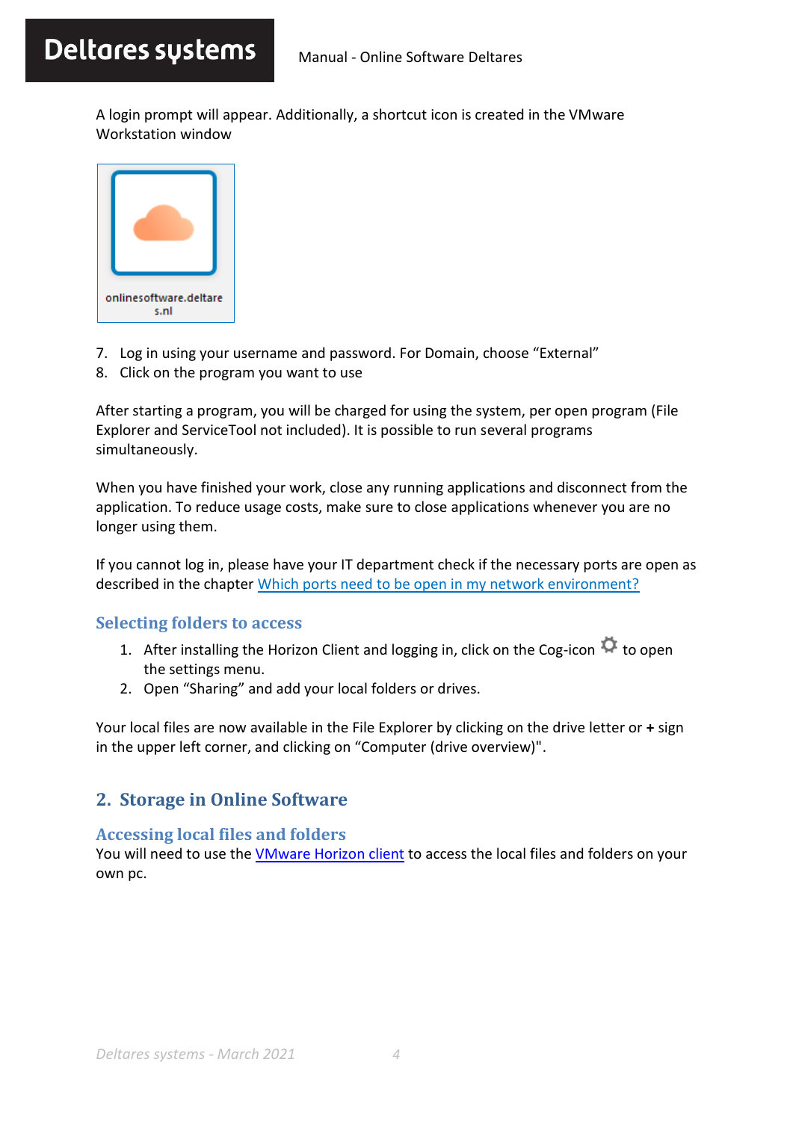A login prompt will appear. Additionally, a shortcut icon is created in the VMware Workstation window



- 7. Log in using your username and password. For Domain, choose "External"
- 8. Click on the program you want to use

After starting a program, you will be charged for using the system, per open program (File Explorer and ServiceTool not included). It is possible to run several programs simultaneously.

When you have finished your work, close any running applications and disconnect from the application. To reduce usage costs, make sure to close applications whenever you are no longer using them.

If you cannot log in, please have your IT department check if the necessary ports are open as described in the chapter [Which ports need to be open in my network environment?](#page-6-0)

# **Selecting folders to access**

- 1. After installing the Horizon Client and logging in, click on the Cog-icon  $\ddot{\mathbf{G}}$  to open the settings menu.
- 2. Open "Sharing" and add your local folders or drives.

Your local files are now available in the File Explorer by clicking on the drive letter or **+** sign in the upper left corner, and clicking on "Computer (drive overview)".

# <span id="page-3-0"></span>**2. Storage in Online Software**

# **Accessing local files and folders**

You will need to use the [VMware Horizon client](#page-2-0) to access the local files and folders on your own pc.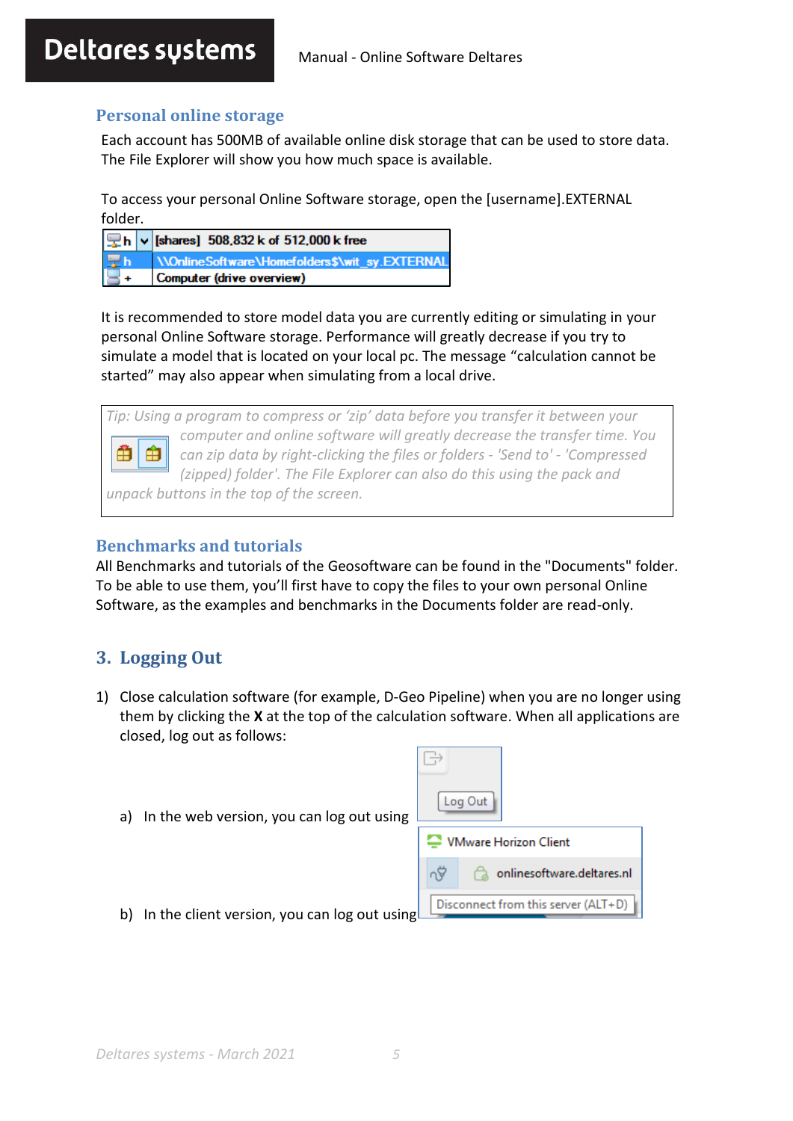# **Personal online storage**

Each account has 500MB of available online disk storage that can be used to store data. The File Explorer will show you how much space is available.

To access your personal Online Software storage, open the [username].EXTERNAL folder.

| $\boxed{\mathbf{Q}}$ h $\boxed{\mathbf{v}}$ [shares] 508,832 k of 512,000 k free |
|----------------------------------------------------------------------------------|
| <b>The WonlineSoftware\Homefolders\$\wit_sy.EXTERNAL</b>                         |
|                                                                                  |

It is recommended to store model data you are currently editing or simulating in your personal Online Software storage. Performance will greatly decrease if you try to simulate a model that is located on your local pc. The message "calculation cannot be started" may also appear when simulating from a local drive.

*Tip: Using a program to compress or 'zip' data before you transfer it between your computer and online software will greatly decrease the transfer time. You*  Ĥ Ĥ *can zip data by right-clicking the files or folders - 'Send to' - 'Compressed (zipped) folder'. The File Explorer can also do this using the pack and unpack buttons in the top of the screen.*

# **Benchmarks and tutorials**

All Benchmarks and tutorials of the Geosoftware can be found in the "Documents" folder. To be able to use them, you'll first have to copy the files to your own personal Online Software, as the examples and benchmarks in the Documents folder are read-only.

# <span id="page-4-0"></span>**3. Logging Out**

- 1) Close calculation software (for example, D-Geo Pipeline) when you are no longer using them by clicking the **X** at the top of the calculation software. When all applications are closed, log out as follows:
	- a) In the web version, you can log out using

|   | Log Out                             |
|---|-------------------------------------|
|   | <b>VMware Horizon Client</b>        |
|   | onlinesoftware.deltares.nl          |
| ን | Disconnect from this server (ALT+D) |

b) In the client version, you can log out using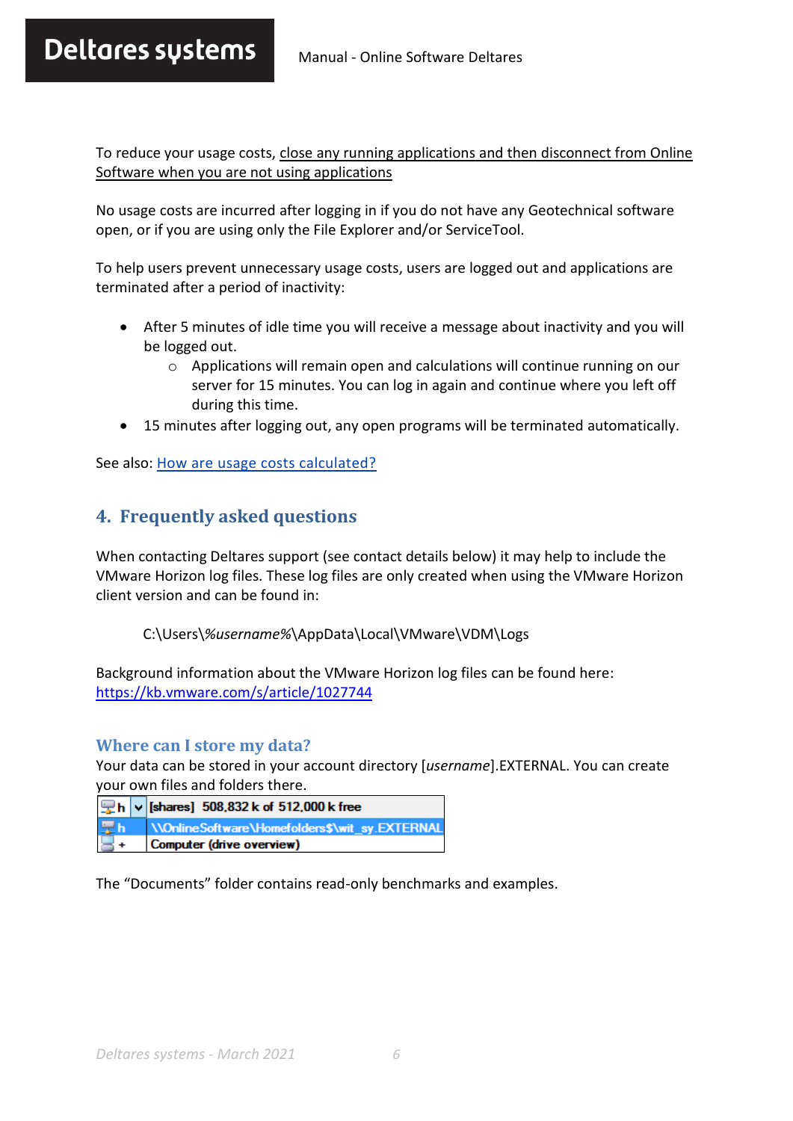# Deltares sustems Manual - Online Software Deltares

To reduce your usage costs, close any running applications and then disconnect from Online Software when you are not using applications

No usage costs are incurred after logging in if you do not have any Geotechnical software open, or if you are using only the File Explorer and/or ServiceTool.

To help users prevent unnecessary usage costs, users are logged out and applications are terminated after a period of inactivity:

- After 5 minutes of idle time you will receive a message about inactivity and you will be logged out.
	- $\circ$  Applications will remain open and calculations will continue running on our server for 15 minutes. You can log in again and continue where you left off during this time.
- 15 minutes after logging out, any open programs will be terminated automatically.

<span id="page-5-0"></span>See also[: How are usage costs calculated?](#page-8-0)

# **4. Frequently asked questions**

When contacting Deltares support (see contact details below) it may help to include the VMware Horizon log files. These log files are only created when using the VMware Horizon client version and can be found in:

C:\Users\*%username%*\AppData\Local\VMware\VDM\Logs

Background information about the VMware Horizon log files can be found here: <https://kb.vmware.com/s/article/1027744>

#### **Where can I store my data?**

Your data can be stored in your account directory [*username*].EXTERNAL. You can create your own files and folders there.

| Ph v [shares] 508,832 k of 512,000 k free        |
|--------------------------------------------------|
| Th WonlineSoftware\Homefolders\$\wit_sy.EXTERNAL |
| Computer (drive overview)                        |

The "Documents" folder contains read-only benchmarks and examples.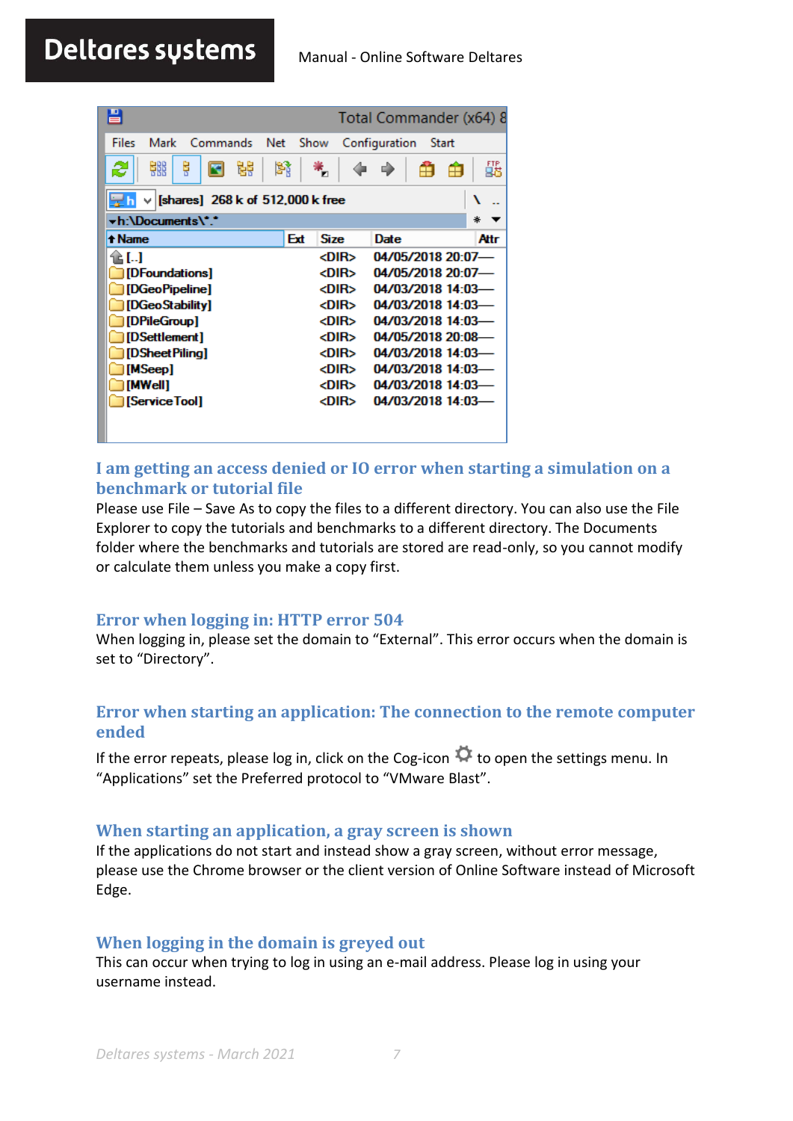<span id="page-6-0"></span>

| 昌                                           |     |             | Total Commander (x64) 8 |       |
|---------------------------------------------|-----|-------------|-------------------------|-------|
| Files<br>Mark<br><b>Net</b><br>Commands     |     | Show        | Configuration           | Start |
| 器<br>ę<br>鹤<br>렳<br>æ                       |     | п           | o.                      | 瓥     |
| [shares] 268 k of 512,000 k free<br>늦게<br>v |     |             |                         | ١     |
| <b>vh:\Documents\*.'</b>                    |     |             |                         | ∗     |
| + Name                                      | Ext | <b>Size</b> | Date                    | Attr  |
| 11. I                                       |     | <dir></dir> | 04/05/2018 20:07-       |       |
| <b>DFoundations</b>                         |     | <dir></dir> | 04/05/2018 20:07-       |       |
| [DGeoPipeline]                              |     | <dir></dir> | 04/03/2018 14:03-       |       |
| [DGeoStability]                             |     | <dir></dir> | 04/03/2018 14:03-       |       |
| [DPileGroup]                                |     | <dir></dir> | 04/03/2018 14:03-       |       |
| [DSettlement]                               |     | <dir></dir> | 04/05/2018 20:08-       |       |
| [DSheetPilina]                              |     | <dir></dir> | 04/03/2018 14:03-       |       |
| [MSeep]                                     |     | <dir></dir> | 04/03/2018 14:03        |       |
| [MWell]                                     |     | <dir></dir> | 04/03/2018 14:03-       |       |
| [Service Tool]                              |     | <dir></dir> | 04/03/2018 14:03-       |       |
|                                             |     |             |                         |       |

# **I am getting an access denied or IO error when starting a simulation on a benchmark or tutorial file**

Please use File – Save As to copy the files to a different directory. You can also use the File Explorer to copy the tutorials and benchmarks to a different directory. The Documents folder where the benchmarks and tutorials are stored are read-only, so you cannot modify or calculate them unless you make a copy first.

# **Error when logging in: HTTP error 504**

When logging in, please set the domain to "External". This error occurs when the domain is set to "Directory".

# **Error when starting an application: The connection to the remote computer ended**

If the error repeats, please log in, click on the Cog-icon  $\Phi$  to open the settings menu. In "Applications" set the Preferred protocol to "VMware Blast".

#### **When starting an application, a gray screen is shown**

If the applications do not start and instead show a gray screen, without error message, please use the Chrome browser or the client version of Online Software instead of Microsoft Edge.

# **When logging in the domain is greyed out**

This can occur when trying to log in using an e-mail address. Please log in using your username instead.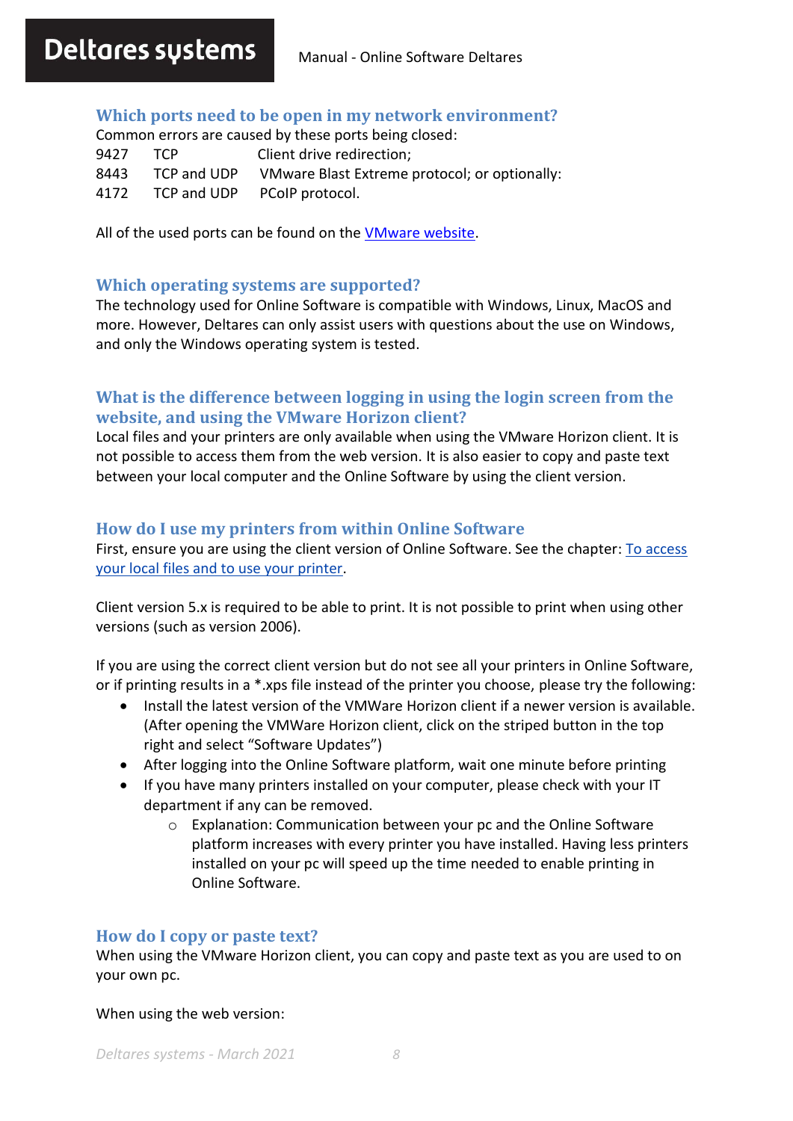### **Which ports need to be open in my network environment?**

Common errors are caused by these ports being closed: 9427 TCP Client drive redirection; 8443 TCP and UDP VMware Blast Extreme protocol; or optionally: 4172 TCP and UDP PCoIP protocol.

All of the used ports can be found on the [VMware website.](https://docs.vmware.com/en/VMware-Horizon-7/7.1/com.vmware.horizon-client-agent.security.doc/GUID-52807839-6BB0-4727-A9C7-EA73DE61ADAB.html)

#### **Which operating systems are supported?**

The technology used for Online Software is compatible with Windows, Linux, MacOS and more. However, Deltares can only assist users with questions about the use on Windows, and only the Windows operating system is tested.

# **What is the difference between logging in using the login screen from the website, and using the VMware Horizon client?**

Local files and your printers are only available when using the VMware Horizon client. It is not possible to access them from the web version. It is also easier to copy and paste text between your local computer and the Online Software by using the client version.

#### **How do I use my printers from within Online Software**

First, ensure you are using the client version of Online Software. See the chapter: [To access](#page-2-0)  [your local files and to use your printer.](#page-2-0)

Client version 5.x is required to be able to print. It is not possible to print when using other versions (such as version 2006).

If you are using the correct client version but do not see all your printers in Online Software, or if printing results in a \*.xps file instead of the printer you choose, please try the following:

- Install the latest version of the VMWare Horizon client if a newer version is available. (After opening the VMWare Horizon client, click on the striped button in the top right and select "Software Updates")
- After logging into the Online Software platform, wait one minute before printing
- If you have many printers installed on your computer, please check with your IT department if any can be removed.
	- o Explanation: Communication between your pc and the Online Software platform increases with every printer you have installed. Having less printers installed on your pc will speed up the time needed to enable printing in Online Software.

#### **How do I copy or paste text?**

When using the VMware Horizon client, you can copy and paste text as you are used to on your own pc.

When using the web version: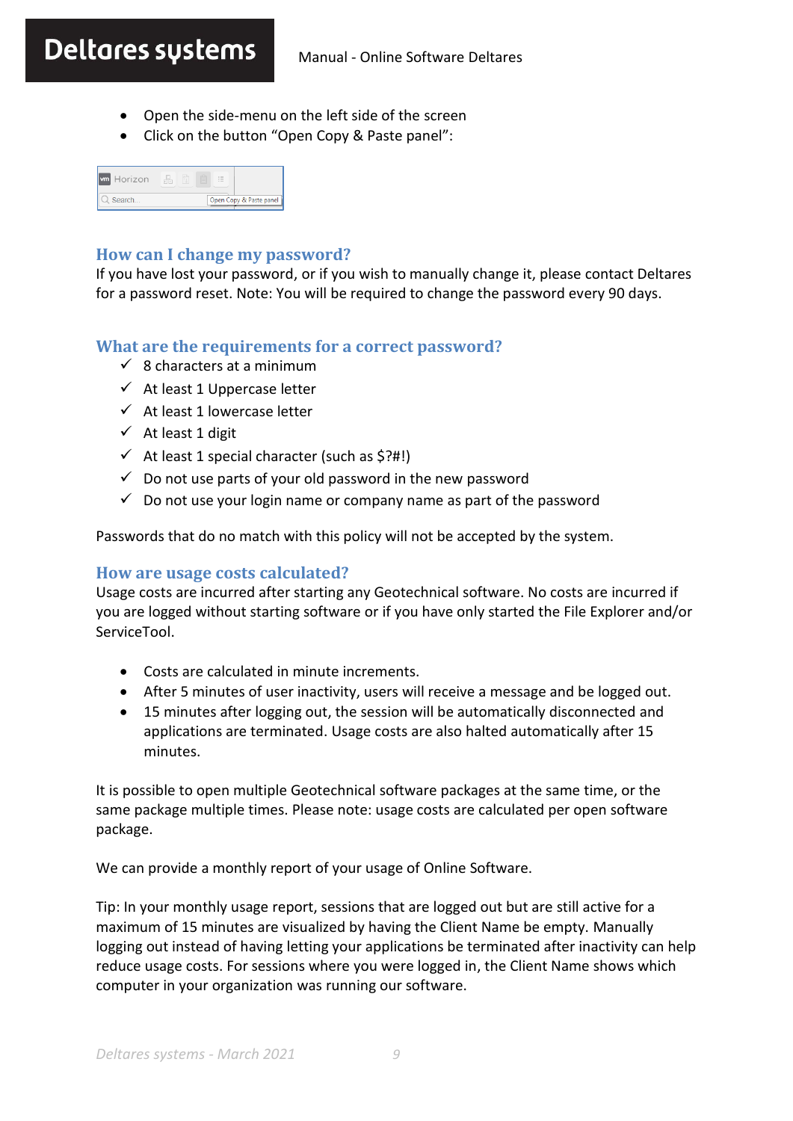- Open the side-menu on the left side of the screen
- Click on the button "Open Copy & Paste panel":

| <b>wm</b> Horizon | $\sim$<br>细 |                         |
|-------------------|-------------|-------------------------|
| Search            |             | Open Copy & Paste panel |

#### **How can I change my password?**

If you have lost your password, or if you wish to manually change it, please contact Deltares for a password reset. Note: You will be required to change the password every 90 days.

### **What are the requirements for a correct password?**

- $\checkmark$  8 characters at a minimum
- $\checkmark$  At least 1 Uppercase letter
- $\checkmark$  At least 1 lowercase letter
- ✓ At least 1 digit
- $\checkmark$  At least 1 special character (such as \$?#!)
- $\checkmark$  Do not use parts of your old password in the new password
- <span id="page-8-0"></span> $\checkmark$  Do not use your login name or company name as part of the password

Passwords that do no match with this policy will not be accepted by the system.

#### **How are usage costs calculated?**

Usage costs are incurred after starting any Geotechnical software. No costs are incurred if you are logged without starting software or if you have only started the File Explorer and/or ServiceTool.

- Costs are calculated in minute increments.
- After 5 minutes of user inactivity, users will receive a message and be logged out.
- 15 minutes after logging out, the session will be automatically disconnected and applications are terminated. Usage costs are also halted automatically after 15 minutes.

It is possible to open multiple Geotechnical software packages at the same time, or the same package multiple times. Please note: usage costs are calculated per open software package.

We can provide a monthly report of your usage of Online Software.

Tip: In your monthly usage report, sessions that are logged out but are still active for a maximum of 15 minutes are visualized by having the Client Name be empty. Manually logging out instead of having letting your applications be terminated after inactivity can help reduce usage costs. For sessions where you were logged in, the Client Name shows which computer in your organization was running our software.